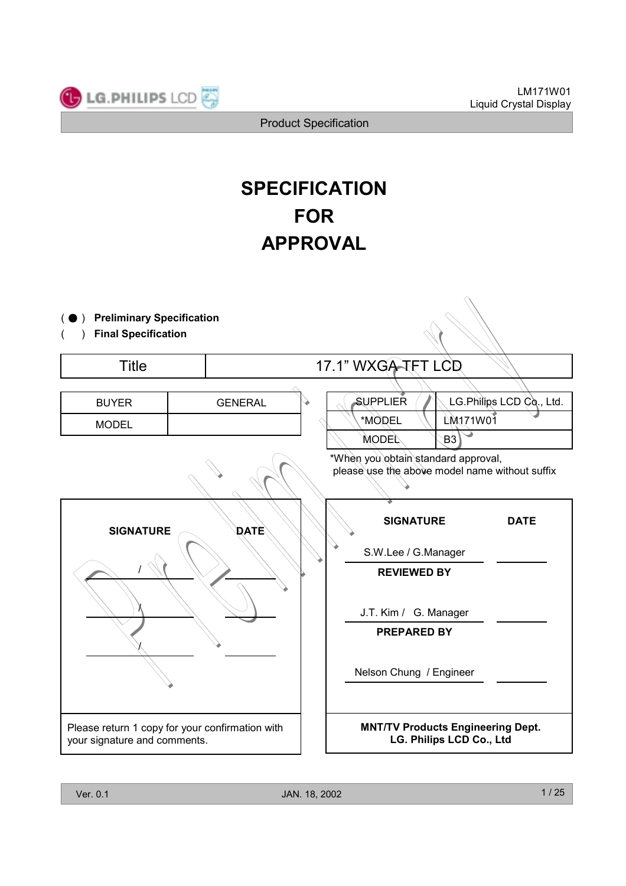

# **SPECIFICATION FOR APPROVAL**

| <b>Preliminary Specification</b><br><b>Final Specification</b> |                                                 |                                                                                       |
|----------------------------------------------------------------|-------------------------------------------------|---------------------------------------------------------------------------------------|
| <b>Title</b>                                                   |                                                 | 17.1" WXGA-TFT LCD                                                                    |
| <b>BUYER</b><br><b>MODEL</b>                                   | <b>GENERAL</b>                                  | LG.Philips LCD Co., Ltd.<br>SUPPLIER<br>LM171W01<br>*MODEL<br>B3<br><b>MODEL</b>      |
|                                                                |                                                 | *When you obtain standard approval,<br>please use the above model name without suffix |
| <b>SIGNATURE</b>                                               | <b>DATE</b>                                     | <b>SIGNATURE</b><br><b>DATE</b>                                                       |
|                                                                |                                                 | S.W.Lee / G.Manager<br><b>REVIEWED BY</b>                                             |
|                                                                |                                                 | J.T. Kim / G. Manager                                                                 |
|                                                                |                                                 | <b>PREPARED BY</b><br>Nelson Chung / Engineer                                         |
| your signature and comments.                                   | Please return 1 copy for your confirmation with | <b>MNT/TV Products Engineering Dept.</b><br>LG. Philips LCD Co., Ltd                  |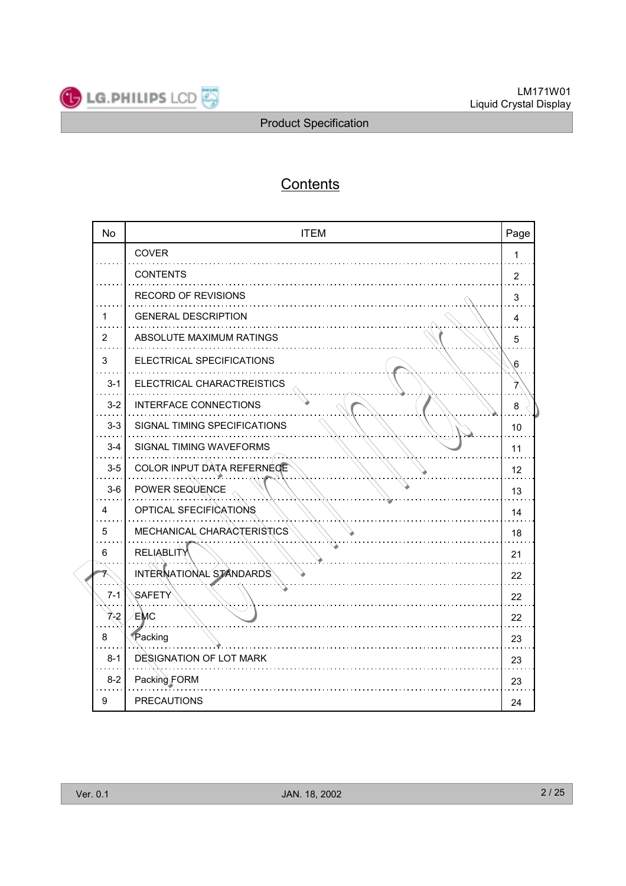

## **Contents**

| <b>No</b> | <b>ITEM</b>                  | Page           |
|-----------|------------------------------|----------------|
|           | COVER                        | 1              |
|           | <b>CONTENTS</b>              | $\overline{2}$ |
|           | RECORD OF REVISIONS          | 3              |
| 1         | <b>GENERAL DESCRIPTION</b>   | 4              |
| 2         | ABSOLUTE MAXIMUM RATINGS     | 5              |
| 3         | ELECTRICAL SPECIFICATIONS    | 6              |
| $3 - 1$   | ELECTRICAL CHARACTREISTICS   | 7              |
| $3-2$     | INTERFACE CONNECTIONS        | 8              |
| $3 - 3$   | SIGNAL TIMING SPECIFICATIONS | 10             |
| $3 - 4$   | SIGNAL TIMING WAVEFORMS      | 11             |
| $3-5$     | COLOR INPUT DATA REFERNEGE   | 12             |
| $3-6$     | POWER SEQUENCE               | 13             |
| 4         | OPTICAL SFECIFICATIONS       | 14             |
| 5         | MECHANICAL CHARACTERISTICS   | 18             |
| 6         | <b>RELIABLITY</b>            | 21             |
| 7         | INTERNATIONAL STANDARDS      | 22             |
| $7 - 1$   | SAFETY                       | 22             |
| 742       | EMC                          | 22             |
| 8         | Packing                      | 23             |
| $8 - 1$   | DESIGNATION OF LOT MARK      | 23             |
| $8 - 2$   | Packing FORM                 | 23             |
| 9         | <b>PRECAUTIONS</b>           | 24             |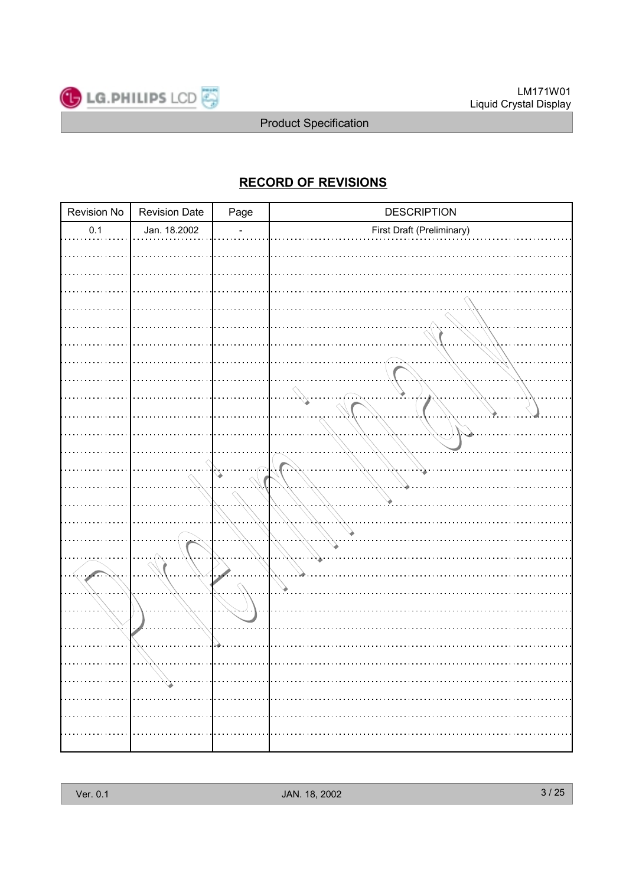

### **RECORD OF REVISIONS**

| Revision No | <b>Revision Date</b> | Page | <b>DESCRIPTION</b>        |
|-------------|----------------------|------|---------------------------|
| 0.1         | Jan. 18.2002         |      | First Draft (Preliminary) |
|             |                      |      |                           |
|             |                      |      |                           |
|             |                      |      |                           |
|             |                      |      |                           |
|             |                      |      |                           |
|             |                      |      |                           |
|             |                      |      |                           |
|             |                      |      |                           |
|             |                      |      |                           |
|             |                      |      |                           |
|             |                      |      |                           |
|             |                      |      |                           |
|             |                      |      |                           |
|             |                      |      |                           |
|             |                      |      |                           |
|             |                      |      |                           |
|             |                      |      |                           |
|             |                      |      |                           |
|             |                      |      |                           |
|             |                      |      |                           |
|             |                      |      |                           |
|             |                      |      |                           |
|             |                      |      |                           |
|             |                      |      |                           |
|             |                      |      |                           |
| .           | $\ldots$             | .    |                           |
|             |                      |      |                           |
|             |                      |      |                           |
| . 1         |                      |      |                           |
|             |                      |      |                           |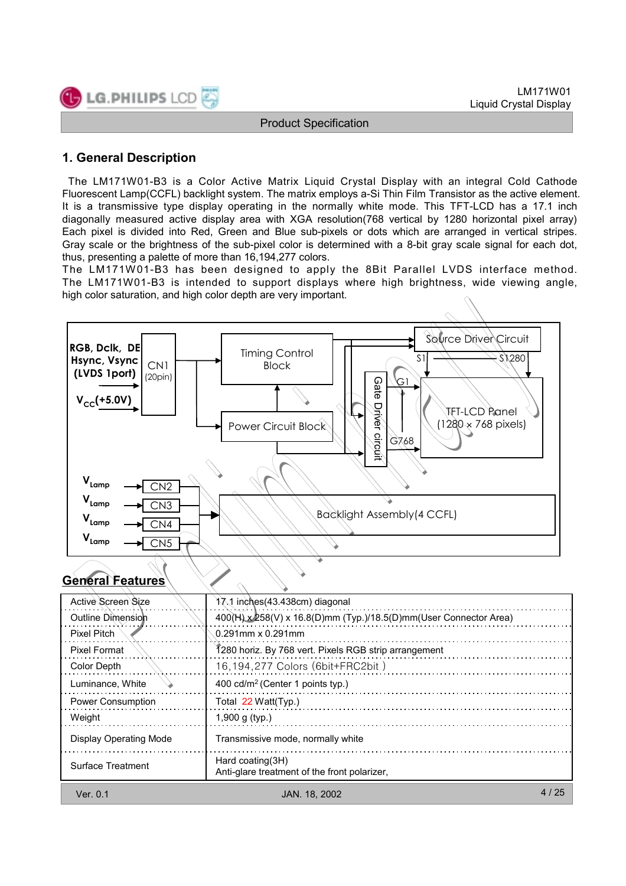

### **1. General Description**

The LM171W01-B3 is a Color Active Matrix Liquid Crystal Display with an integral Cold Cathode Fluorescent Lamp(CCFL) backlight system. The matrix employs a-Si Thin Film Transistor as the active element. It is a transmissive type display operating in the normally white mode. This TFT-LCD has a 17.1 inch diagonally measured active display area with XGA resolution(768 vertical by 1280 horizontal pixel array) Each pixel is divided into Red, Green and Blue sub-pixels or dots which are arranged in vertical stripes. Gray scale or the brightness of the sub-pixel color is determined with a 8-bit gray scale signal for each dot, thus, presenting a palette of more than 16,194,277 colors.

The LM171W01-B3 has been designed to apply the 8Bit Parallel LVDS interface method. The LM171W01-B3 is intended to support displays where high brightness, wide viewing angle, high color saturation, and high color depth are very important.



### **General Features**

| Active Screen Size            | 17.1 inches (43.438cm) diagonal                                    |
|-------------------------------|--------------------------------------------------------------------|
| Outline Dimension             | 400(H) x 258(V) x 16.8(D)mm (Typ.)/18.5(D)mm (User Connector Area) |
| Pixel Pitch                   | $0.291$ mm x $0.291$ mm                                            |
| Pixel Format                  | 1280 horiz. By 768 vert. Pixels RGB strip arrangement              |
| Color Depth                   | 16,194,277 Colors (6bit+FRC2bit)                                   |
| Luminance, White              | 400 cd/m <sup>2</sup> (Center 1 points typ.)                       |
| <b>Power Consumption</b>      | Total 22 Watt(Typ.)                                                |
| Weight                        | 1,900 g $(tvp.)$                                                   |
| <b>Display Operating Mode</b> | Transmissive mode, normally white                                  |
| Surface Treatment             | Hard coating (3H)<br>Anti-glare treatment of the front polarizer.  |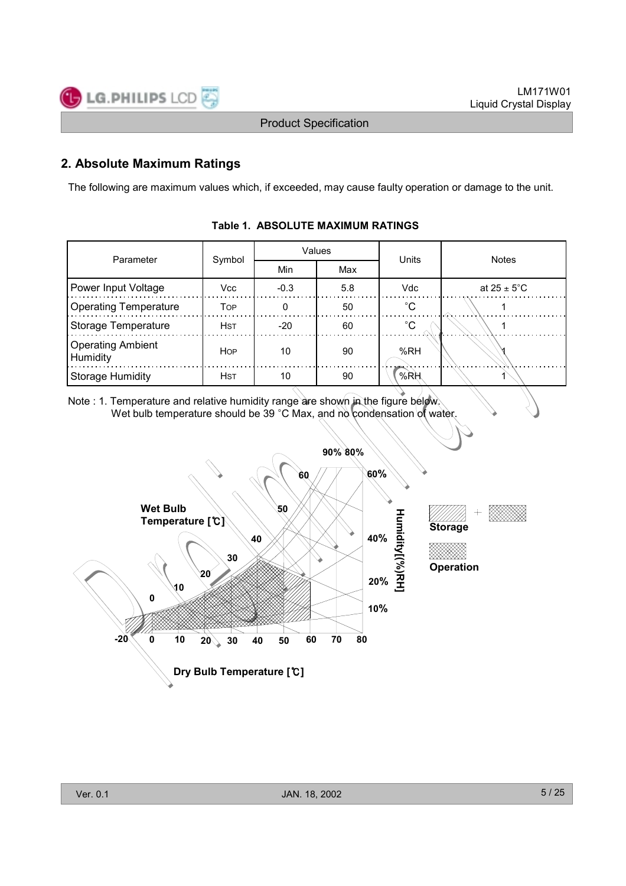### **2. Absolute Maximum Ratings**

The following are maximum values which, if exceeded, may cause faulty operation or damage to the unit.

| Parameter                            | Symbol     |        | Values | <b>Units</b> | <b>Notes</b>            |  |  |  |
|--------------------------------------|------------|--------|--------|--------------|-------------------------|--|--|--|
|                                      |            | Min    | Max    |              |                         |  |  |  |
| Power Input Voltage                  | Vcc        | $-0.3$ | 5.8    | Vdc          | at $25 \pm 5^{\circ}$ C |  |  |  |
| <b>Operating Temperature</b>         | <b>TOP</b> | 0      | 50     | $^{\circ}C$  |                         |  |  |  |
| Storage Temperature                  | <b>HST</b> | $-20$  | 60     | $^{\circ}$ C |                         |  |  |  |
| <b>Operating Ambient</b><br>Humidity | <b>HOP</b> | 10     | 90     | %RH          |                         |  |  |  |
| <b>Storage Humidity</b>              | <b>HST</b> | 10     | 90     | %RH          |                         |  |  |  |

#### **Table 1. ABSOLUTE MAXIMUM RATINGS**

Note : 1. Temperature and relative humidity range are shown in the figure below. Wet bulb temperature should be 39 °C Max, and no condensation of water.

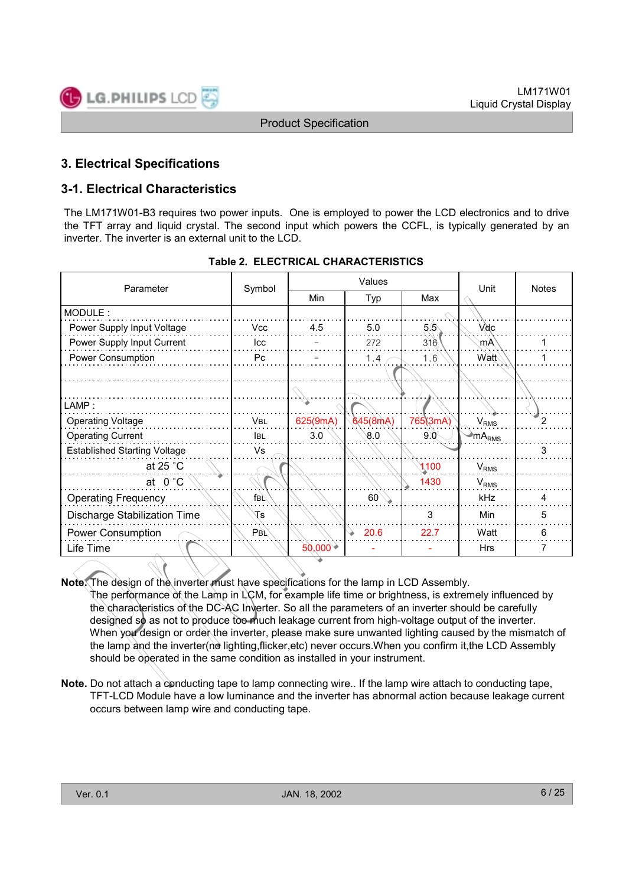### **3. Electrical Specifications**

### **3-1. Electrical Characteristics**

The LM171W01-B3 requires two power inputs. One is employed to power the LCD electronics and to drive the TFT array and liquid crystal. The second input which powers the CCFL, is typically generated by an inverter. The inverter is an external unit to the LCD.

| Parameter                           | Symbol          |          | Values       | Unit     | Notes            |                |
|-------------------------------------|-----------------|----------|--------------|----------|------------------|----------------|
|                                     |                 | Min      | Typ          | Max      |                  |                |
| MODULE:                             |                 |          |              |          |                  |                |
| Power Supply Input Voltage          | <b>Vcc</b>      | 4.5      | 5.0          | 5.6      | <b>Vdc</b>       |                |
| Power Supply Input Current          | Icc             |          | 272          | 316      | mA               |                |
| Power Consumption                   | Pc              |          | 1.4          | 1.6      | Watt             |                |
|                                     |                 |          |              |          |                  |                |
|                                     |                 |          |              |          |                  |                |
| LAMP:                               |                 |          |              |          |                  |                |
| <b>Operating Voltage</b>            | <b>VBL</b>      | 625(9mA) | 645(8mA)     | 765(3mA) | $V_{RMS}$        | $\overline{2}$ |
| <b>Operating Current</b>            | <b>IBL</b>      | 3.0      | 0.8          | 9.0      | $\sum_{RMS}$     |                |
| <b>Established Starting Voltage</b> | Vs              |          |              |          |                  | 3              |
| at 25 $^{\circ}$ C                  |                 |          |              | 1100     | V <sub>RMS</sub> |                |
| at $0^{\circ}$ C                    |                 |          |              | 1430     | V <sub>RMS</sub> |                |
| <b>Operating Frequency</b>          | fв⊾             |          | $60^{\circ}$ |          | kHz              | 4              |
| Discharge Stabilization Time        | <b>Ts</b>       |          |              | 3        | Min              | 5              |
| Power Consumption                   | $P_{\text{BL}}$ |          | 20.6         | 22.7     | Watt             | 6              |
| Life Time                           |                 | 50,000   |              |          | <b>Hrs</b>       | 7              |
|                                     |                 |          |              |          |                  |                |

|  |  | <b>Table 2. ELECTRICAL CHARACTERISTICS</b> |
|--|--|--------------------------------------------|
|--|--|--------------------------------------------|

**Note.** The design of the inverter must have specifications for the lamp in LCD Assembly.

The performance of the Lamp in LCM, for example life time or brightness, is extremely influenced by the characteristics of the DC-AC Inverter. So all the parameters of an inverter should be carefully designed so as not to produce too much leakage current from high-voltage output of the inverter. When you design or order the inverter, please make sure unwanted lighting caused by the mismatch of the lamp and the inverter(no lighting, flicker, etc) never occurs. When you confirm it, the LCD Assembly should be operated in the same condition as installed in your instrument.

**Note.** Do not attach a conducting tape to lamp connecting wire.. If the lamp wire attach to conducting tape, TFT-LCD Module have a low luminance and the inverter has abnormal action because leakage current occurs between lamp wire and conducting tape.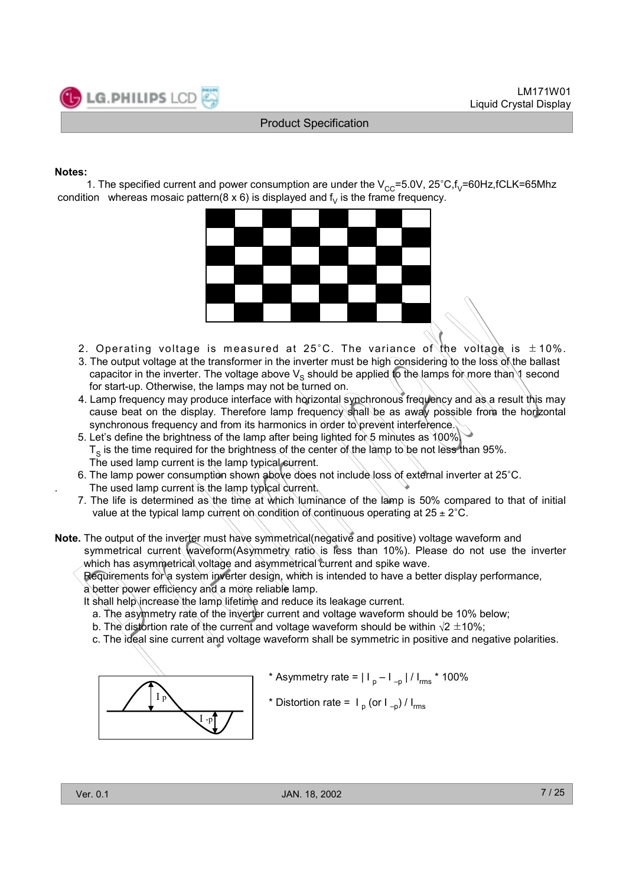#### **Notes:**

1. The specified current and power consumption are under the  $V_{CC}=5.0V$ ,  $25^{\circ}C$ , $f_V=60Hz$ ,  $fCLK=65Mhz$ condition whereas mosaic pattern(8 x 6) is displayed and  $f<sub>V</sub>$  is the frame frequency.



- 2. Operating voltage is measured at 25°C. The variance of the voltage is  $\pm$  10%.
- 3. The output voltage at the transformer in the inverter must be high considering to the loss of the ballast capacitor in the inverter. The voltage above  $V_s$  should be applied to the lamps for more than 1 second for start-up. Otherwise, the lamps may not be turned on.
- 4. Lamp frequency may produce interface with horizontal synchronous frequency and as a result this may cause beat on the display. Therefore lamp frequency shall be as away possible from the horizontal synchronous frequency and from its harmonics in order to prevent interference.
- 5. Let's define the brightness of the lamp after being lighted for 5 minutes as 100%.  $T<sub>s</sub>$  is the time required for the brightness of the center of the lamp to be not less than 95%. The used lamp current is the lamp typical current.
- 6. The lamp power consumption shown above does not include loss of external inverter at 25°C. The used lamp current is the lamp typical current.
- 7. The life is determined as the time at which luminance of the lamp is 50% compared to that of initial value at the typical lamp current on condition of continuous operating at  $25 \pm 2^{\circ}$ C.

**Note.** The output of the inverter must have symmetrical(negative and positive) voltage waveform and symmetrical current waveform(Asymmetry ratio is less than 10%). Please do not use the inverter which has asymmetrical voltage and asymmetrical current and spike wave.

Requirements for a system inverter design, which is intended to have a better display performance, a better power efficiency and a more reliable lamp.

It shall help increase the lamp lifetime and reduce its leakage current.

- a. The asymmetry rate of the inverter current and voltage waveform should be 10% below;
- b. The distortion rate of the current and voltage waveform should be within  $\sqrt{2} \pm 10\%$ ;
- c. The ideal sine current and voltage waveform shall be symmetric in positive and negative polarities.



- \* Asymmetry rate =  $|I_p I_{-p}| / |I_{rms} |$  \* 100%
- \* Distortion rate =  $I_p$  (or  $I_p$ ) /  $I_{rms}$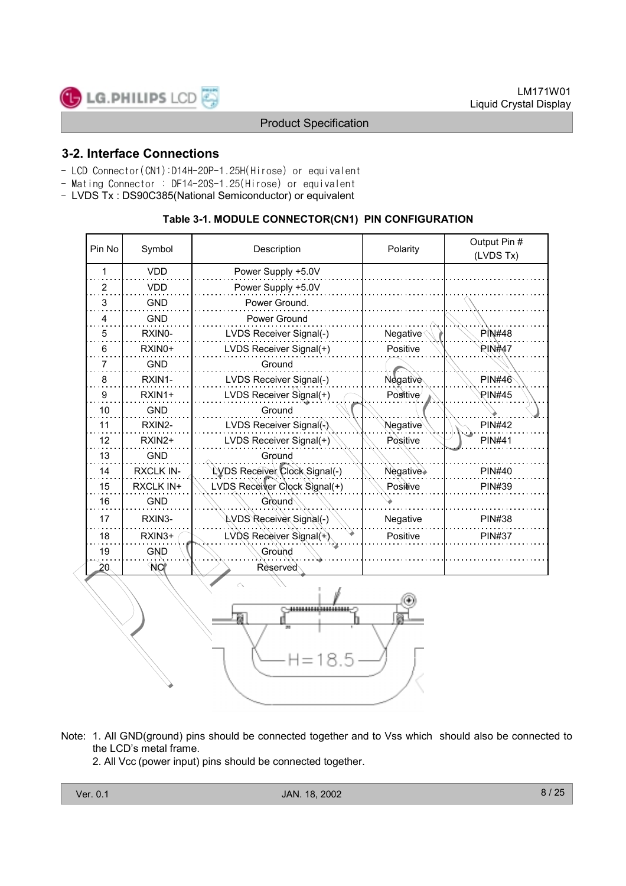

### **3-2. Interface Connections**

- LCD Connector(CN1):D14H-20P-1.25H(Hirose) or equivalent
- Mating Connector : DF14-20S-1.25(Hirose) or equivalent
- LVDS Tx : DS90C385(National Semiconductor) or equivalent

#### **Table 3-1. MODULE CONNECTOR(CN1) PIN CONFIGURATION**

| Pin No          | Symbol              | Description                   | Polarity                 | Output Pin #<br>(LVDS Tx) |
|-----------------|---------------------|-------------------------------|--------------------------|---------------------------|
| 1               | <b>VDD</b>          | Power Supply +5.0V            |                          |                           |
| $\overline{2}$  | <b>VDD</b>          | Power Supply +5.0V            |                          |                           |
| 3               | <b>GND</b>          | Power Ground.                 |                          |                           |
| 4               | <b>GND</b>          | Power Ground                  |                          |                           |
| 5               | RXINO-              | LVDS Receiver Signal(-)       | Negative                 | <b>PIN#48</b>             |
| 6               | RXIN <sub>0</sub> + | LVDS Receiver Signal(+)       | Positive                 | <b>PIN#47</b>             |
| 7               | <b>GND</b>          | Ground                        |                          |                           |
| 8               | RXIN1-              | LVDS Receiver Signal(-)       | Negative                 | <b>PIN#46</b>             |
| 9               | RXIN1+              | LVDS Receiver Signal(+)       | Positive                 | PIN#45                    |
| 10              | <b>GND</b>          | Ground                        |                          |                           |
| 11              | RXIN2-              | LVDS Receiver Signal(-)       | Negative                 | <b>PIN#42</b>             |
| 12              | RXIN2+              | LVDS Receiver Signal(+)       | Positive                 | <b>PIN#41</b>             |
| 13              | <b>GND</b>          | Ground                        |                          |                           |
| 14              | <b>RXCLK IN-</b>    | LVDS Receiver Clock Signal(-) | Negative <sup>&gt;</sup> | <b>PIN#40</b>             |
| 15              | <b>RXCLK IN+</b>    | LVDS Receiver Clock Signal(+) | Positive                 | <b>PIN#39</b>             |
| 16              | <b>GND</b>          | Ground                        |                          |                           |
| 17              | RXIN3-              | LVDS Receiver Signal(-)       | Negative                 | <b>PIN#38</b>             |
| 18              | RXIN <sub>3+</sub>  | LVDS Receiver Signal(+)       | Positive                 | <b>PIN#37</b>             |
| 19              | <b>GND</b>          | Ground                        |                          |                           |
| 20 <sub>1</sub> | <b>NO</b>           | Reserved                      |                          |                           |
|                 |                     |                               |                          |                           |



- Note: 1. All GND(ground) pins should be connected together and to Vss which should also be connected to the LCD's metal frame.
	- 2. All Vcc (power input) pins should be connected together.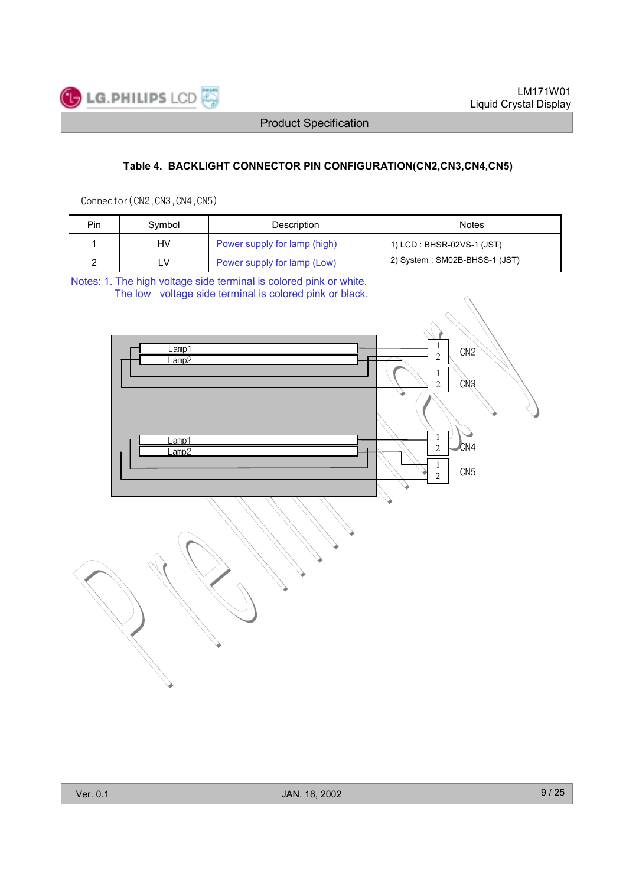

### **Table 4. BACKLIGHT CONNECTOR PIN CONFIGURATION(CN2,CN3,CN4,CN5)**

Connector (CN2, CN3, CN4, CN5)

| Pin | Svmbol | Description                  | <b>Notes</b>                  |
|-----|--------|------------------------------|-------------------------------|
|     | HV     | Power supply for lamp (high) | 1) LCD : BHSR-02VS-1 (JST)    |
|     | LV     | Power supply for lamp (Low)  | 2) System: SM02B-BHSS-1 (JST) |

Notes: 1. The high voltage side terminal is colored pink or white. The low voltage side terminal is colored pink or black.

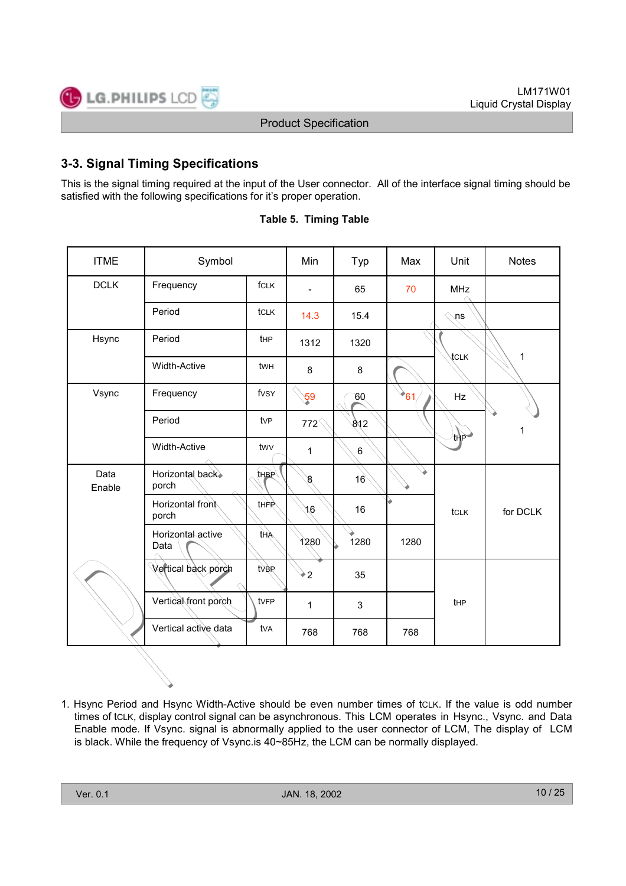### **3-3. Signal Timing Specifications**

This is the signal timing required at the input of the User connector. All of the interface signal timing should be satisfied with the following specifications for it's proper operation.

| <b>ITME</b>    | Symbol                    |                 | Min                      | Typ     | Max      | Unit            | <b>Notes</b> |
|----------------|---------------------------|-----------------|--------------------------|---------|----------|-----------------|--------------|
| <b>DCLK</b>    | Frequency                 | fcLK            | $\overline{\phantom{a}}$ | 65      | 70       | <b>MHz</b>      |              |
|                | Period                    | tclk            | 14.3                     | 15.4    |          | <b>្</b> ns     |              |
| Hsync          | Period                    | tHP             | 1312                     | 1320    |          |                 |              |
|                | <b>Width-Active</b>       | twh             | 8                        | 8       |          | <b>ICLK</b>     | 1            |
| Vsync          | Frequency                 | fvsy            | $\mathbf{59}$            | 60      | $*_{61}$ | Hz              |              |
|                | Period                    | tv <sub>P</sub> | $772^\circ$              | 812     |          | thP             | 1            |
|                | <b>Width-Active</b>       | twy             | $\mathbf 1$              | $\,6\,$ |          |                 |              |
| Data<br>Enable | Horizontal back><br>porch | <b>tHBP</b>     | $8\,$                    | 16      |          |                 |              |
|                | Horizontal front<br>porch | thFR            | 3/6                      | 16      |          | tcLK            | for DCLK     |
|                | Horizontal active<br>Data | tha             | 1280                     | 1280    | 1280     |                 |              |
|                | Vertical back porch       | tver            | ቅ2                       | 35      |          |                 |              |
|                | Vertical front porch      | tvFP            | $\mathbf 1$              | 3       |          | t <sub>HP</sub> |              |
|                | Vertical active data      | tva             | 768                      | 768     | 768      |                 |              |

|  | <b>Table 5. Timing Table</b> |  |
|--|------------------------------|--|
|  |                              |  |

1. Hsync Period and Hsync Width-Active should be even number times of tCLK. If the value is odd number times of tcLK, display control signal can be asynchronous. This LCM operates in Hsync., Vsync. and Data Enable mode. If Vsync. signal is abnormally applied to the user connector of LCM, The display of LCM is black. While the frequency of Vsync.is 40~85Hz, the LCM can be normally displayed.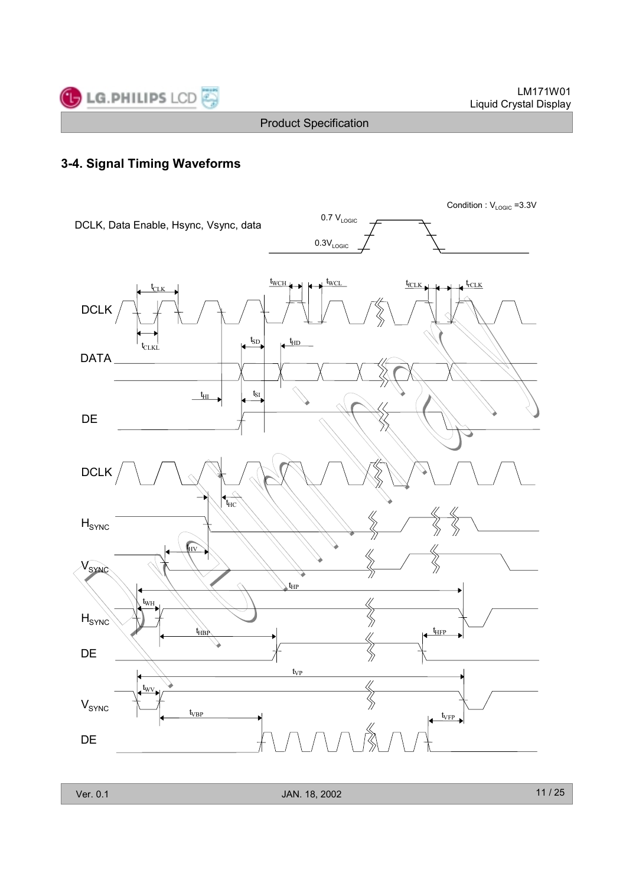

### **3-4. Signal Timing Waveforms**

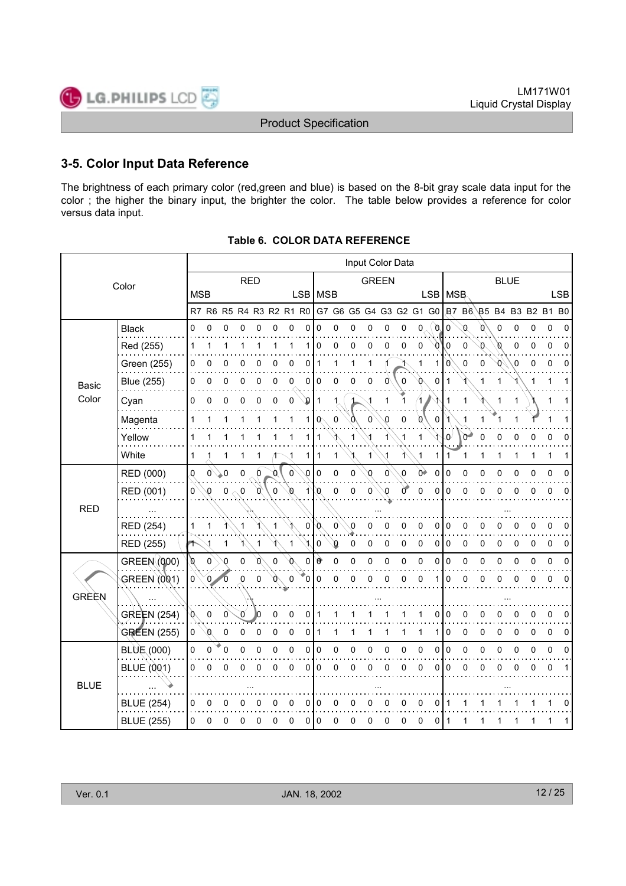### **3-5. Color Input Data Reference**

The brightness of each primary color (red,green and blue) is based on the 8-bit gray scale data input for the color ; the higher the binary input, the brighter the color. The table below provides a reference for color versus data input.

|             |                    |              |                     |              |             |    |             |              |              |           |                |          |             |              | Input Color Data |    |              |             |       |   |             |              |   |                                                                         |            |
|-------------|--------------------|--------------|---------------------|--------------|-------------|----|-------------|--------------|--------------|-----------|----------------|----------|-------------|--------------|------------------|----|--------------|-------------|-------|---|-------------|--------------|---|-------------------------------------------------------------------------|------------|
|             | Color              |              |                     |              | <b>RED</b>  |    |             |              |              |           |                |          |             | <b>GREEN</b> |                  |    |              |             |       |   | <b>BLUE</b> |              |   |                                                                         |            |
|             |                    | <b>MSB</b>   |                     |              |             |    |             |              |              | LSB   MSB |                |          |             |              |                  |    |              | LSB   MSB   |       |   |             |              |   |                                                                         | <b>LSB</b> |
|             |                    |              |                     |              |             |    |             |              |              |           |                |          |             |              |                  |    |              |             |       |   |             |              |   | R7 R6 R5 R4 R3 R2 R1 R0 G7 G6 G5 G4 G3 G2 G1 G0 B7 B6 B5 B4 B3 B2 B1 B0 |            |
|             | <b>Black</b>       | 0            | $\Omega$            | n            | n           |    |             | U            | 0            | 0         | 0              | ი        | 0           | 0            | ŋ                | 0  | 0            | $\Omega$    | U     |   | ŋ           | 0            | ŋ | 0                                                                       |            |
|             | Red (255)          | 1            |                     |              |             |    |             |              | 1            | 0         | 0              | 0        | 0           | 0            | 0                | 0  | O            | 0           | 0     | U | Ø           | 0            | 0 | 0                                                                       | 0          |
|             | Green (255)        | 0            | 0                   |              |             |    |             | 0            | 0            |           | 1              |          | 1           |              |                  | 1  |              | 0           | 0     | 0 | 0           | 0            | 0 | 0                                                                       |            |
| Basic       | <b>Blue (255)</b>  | 0            | 0                   | 0            | 0           | 0  | 0           | 0            | 0            | 0         | 0              | 0        | 0           | 0            | 0                |    | $\Omega$     |             |       |   | 1           |              |   |                                                                         |            |
| Color       | Cyan               | 0            | $\Omega$            | 0            | 0           | 0  | $\Omega$    | 0            | Q            | 1         | 1              |          |             |              |                  |    |              |             |       |   |             |              |   |                                                                         |            |
|             | Magenta            | 1            |                     |              |             |    |             | 1            | 1 I          | o         | 0              |          | $\Omega$    | O            | 0                | 0  | 0            |             |       |   |             |              |   |                                                                         |            |
|             | Yellow             | 1            |                     |              |             |    |             |              |              | 1         |                |          |             |              |                  | 1  |              | 0           | $0^-$ | 0 | 0           | 0            | 0 | 0                                                                       | ŋ          |
|             | White              | 1            |                     |              |             |    |             |              | 1            | 1         | 1              |          | 1           |              |                  | 1  | 1            | -1          | 1     |   |             | 1            | 1 | 1                                                                       |            |
|             | RED (000)          | O            | $\mathsf{O}^\wedge$ | 0.           | 0           | 0  | 0           | $\mathbf{0}$ | $\mathbf{0}$ | $\Omega$  | 0              | 0        | O           | 0            | 0                | Оò | $\mathbf{0}$ | $\mathbf 0$ | O     | 0 | 0           | 0            | 0 | 0                                                                       |            |
|             | RED (001)          | 0            | O                   | $\pmb{0}$    | $\mathbf 0$ | Ø, | $\mathbf 0$ | Ø            | $\mathbf{1}$ | Ø         | 0              | 0        | 0           | ഹ            | Ŏ                | 0  | 0            | $\mathbf 0$ | 0     | 0 | 0           | 0            | 0 | 0                                                                       | 0          |
| <b>RED</b>  |                    |              |                     |              |             |    |             |              |              |           |                |          |             |              |                  |    |              |             |       |   |             |              |   |                                                                         |            |
|             | RED (254)          | 1            | 1                   |              | 1           |    | 1           |              | 0            | VO.       | $\overline{0}$ | 0        | U           | n            | 0                | 0  | 0            | 0           | 0     |   |             | 0            | 0 | 0                                                                       | 0          |
|             | RED (255)          | Τ            |                     | 1            |             |    |             |              |              | 0         | Ø              | 0        | 0           | 0            | 0                | 0  | 0            | 0           | 0     | 0 | n           | 0            | 0 | 0                                                                       |            |
|             | GREEN (000)        | ø            | $\mathbf{0}$        | $\mathbf{0}$ | $\Omega$    | Ø  | $\mathbf 0$ | ∩            | 0 l          | ₩         | $\mathbf 0$    | $\Omega$ | $\mathbf 0$ | 0            | 0                | 0  | $\mathbf 0$  | $\mathbf 0$ | 0     | 0 | 0           | $\mathbf{0}$ | 0 | 0                                                                       |            |
|             | GREEN (001)        | $\mathbf{0}$ | $\sim$              |              | 0           | 0  | V           | 0            | O.           | 0         | 0              | 0        | 0           | 0            | 0                | 0  | 1            | 0           | 0     | 0 | 0           | 0            | 0 | 0                                                                       | 0          |
| GRÈÈN       |                    |              |                     |              |             |    |             |              |              |           |                |          |             |              |                  |    |              |             |       |   |             |              |   |                                                                         |            |
|             | <b>GREEN (254)</b> | v            | 0                   | 0            | 0           |    |             | 0            | 0            |           |                |          |             |              |                  |    | 0            | 0           |       |   |             |              |   |                                                                         | U          |
|             | <b>GREEN (255)</b> | 0            | n                   | 0            | O           |    | ŋ           | 0            | 0            |           |                |          |             |              |                  | 1  |              | 0           | U     | U | U           | O            | O | 0                                                                       |            |
|             | BLUE(000)          | 0            | 0                   | 0            | 0           | 0  | 0           | 0            | 0            | 0         | 0              | 0        | 0           | 0            | 0                | 0  | 0            | $\mathbf 0$ | 0     | 0 | 0           | 0            | 0 | 0                                                                       |            |
|             | BLUE (001)         | 0            | 0                   |              | U           |    |             | 0            | 0            | 0         | 0              | 0        | 0           | 0            | 0                | 0  | 0            | 0           | 0     | 0 | 0           | 0            | 0 | 0                                                                       |            |
| <b>BLUE</b> |                    |              |                     |              |             |    |             |              |              |           |                |          |             |              |                  |    |              |             |       |   |             |              |   |                                                                         |            |
|             | <b>BLUE (254)</b>  | 0            |                     |              |             |    |             |              | 0            |           |                |          |             |              |                  |    | 0            |             |       |   |             |              |   |                                                                         |            |
|             | <b>BLUE (255)</b>  | 0            | 0                   | 0            | 0           | 0  | 0           | 0            | 0 I          | 0         | 0              | 0        | 0           | 0            | 0                | 0  | 0            |             |       |   |             |              |   |                                                                         |            |

#### **Table 6. COLOR DATA REFERENCE**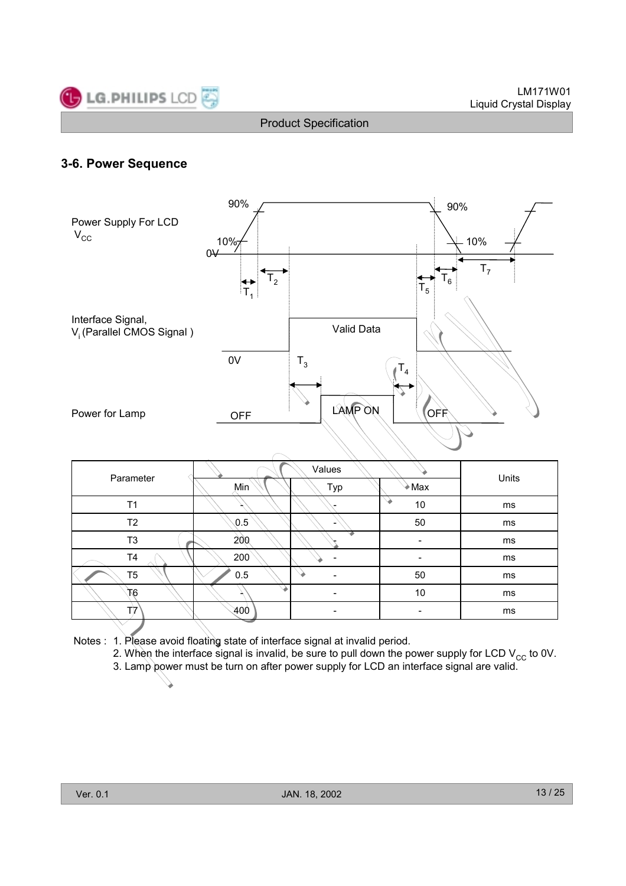

### **3-6. Power Sequence**



| Parameter      |  |     | Units                    |                          |    |
|----------------|--|-----|--------------------------|--------------------------|----|
|                |  | Min | Typ                      | Max                      |    |
| T1             |  |     |                          | 10                       | ms |
| T2             |  | 0.5 | -                        | 50                       | ms |
| T3             |  | 200 |                          | -                        | ms |
| T4             |  | 200 |                          | -                        | ms |
| T <sub>5</sub> |  | 0.5 | ۰                        | 50                       | ms |
| ðТ.            |  |     | $\overline{\phantom{a}}$ | 10                       | ms |
| T7             |  | 400 | $\overline{\phantom{a}}$ | $\overline{\phantom{a}}$ | ms |
|                |  |     |                          |                          |    |

- Notes : 1. Please avoid floating state of interface signal at invalid period.
	- 2. When the interface signal is invalid, be sure to pull down the power supply for LCD  $V_{CC}$  to 0V.
	- 3. Lamp power must be turn on after power supply for LCD an interface signal are valid.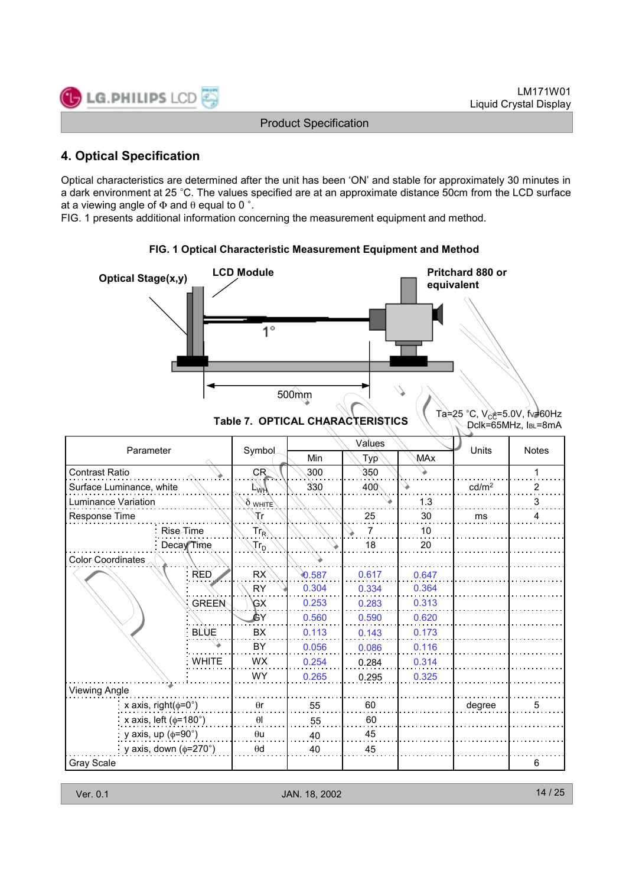### **4. Optical Specification**

Optical characteristics are determined after the unit has been 'ON' and stable for approximately 30 minutes in a dark environment at 25 °C. The values specified are at an approximate distance 50cm from the LCD surface at a viewing angle of  $\Phi$  and  $\theta$  equal to 0 °.

FIG. 1 presents additional information concerning the measurement equipment and method.

**LCD Module CD Pritchard 880 or Optical Stage(x,y) Pritchard 880 or equivalent** 1° 500mm Table 7. OPTICAL CHARACTERISTICS **Table 7. OPTICAL CHARACTERISTICS** Dclk=65MHz, IBL=8mA Values Parameter Symbol  $\begin{array}{|c|c|c|c|c|c|}\n\hline\n\end{array}$  Symbol  $\begin{array}{|c|c|c|c|c|}\n\hline\n\end{array}$  Symbol  $\begin{array}{|c|c|c|c|}\n\hline\n\end{array}$  Symbol  $\begin{array}{|c|c|c|}\n\hline\n\end{array}$  Symbol  $\begin{array}{|c|c|c|}\n\hline\n\end{array}$  Symbol  $\begin{array}{|c|c|c|}\n\hline\n\end{array}$  S Min  $\wedge$  Typ $\wedge$   $\wedge$  MAx Contrast Ratio  $\qquad \qquad \qquad \qquad \qquad \Box \qquad \qquad \qquad \qquad \qquad \qquad \Box \qquad \qquad \qquad \Box \qquad \qquad \Box \qquad \qquad \Box \qquad \qquad \Box \qquad \qquad \Box \qquad \Box \qquad \Box \qquad \Box \qquad \Box \qquad \Box \qquad \Box \qquad \Box \qquad \Box \qquad \Box \qquad \Box \qquad \Box \qquad \Box \qquad \Box \qquad \Box \qquad \Box \qquad \Box \qquad \Box \qquad \Box \qquad \Box \qquad \Box \qquad \Box \qquad \Box \qquad \Box \qquad \Box \qquad \Box$ Surface Luminance, white  $\vee$   $\downarrow$   $\downarrow$   $\downarrow$   $\downarrow$  330 400  $\downarrow$   $\downarrow$   $\downarrow$   $\downarrow$   $\downarrow$   $\downarrow$   $\downarrow$   $\downarrow$   $\downarrow$   $\downarrow$   $\downarrow$   $\downarrow$   $\downarrow$   $\downarrow$   $\downarrow$   $\downarrow$   $\downarrow$   $\downarrow$   $\downarrow$   $\downarrow$   $\downarrow$   $\downarrow$   $\downarrow$   $\downarrow$   $\downarrow$   $\downarrow$   $\$ Luminance Variation  $\bigvee \bigvee_{W\text{Hilt}} \bigvee \bigvee \bigvee \bigvee$  3 30 Response Time  $\begin{array}{|c|c|c|c|c|c|}\n\hline\n\end{array}$   $\begin{array}{|c|c|c|c|c|}\n\hline\n\end{array}$   $\begin{array}{|c|c|c|c|c|}\n\hline\n\end{array}$   $\begin{array}{|c|c|c|c|}\n\hline\n\end{array}$   $\begin{array}{|c|c|c|c|}\n\hline\n\end{array}$   $\begin{array}{|c|c|c|c|}\n\hline\n\end{array}$   $\begin{array}{|c|c|c|}\n\hline\n\end{array}$   $\begin{array$ Rise Time Tr $_{\sf R}$   $\setminus$   $\setminus$   $\setminus$   $\setminus$   $\setminus$  7  $\setminus$  10 Decay Time  $\begin{array}{|c|c|c|c|c|}\hline \text{Tr}_{\text{D}} \quad \text{\large $\backslash$} & \text{\large $\backslash$} & \text{\large $\backslash$} & \text{\large $\backslash$} & \text{\large $\backslash$} & \text{\large $18}$ & & 20\hline \end{array}$ Color Coordinates RED RX 0.587 0.647 0.617 RY 0.304 0.364 0.334 0.253 0.313 0.283 **GREEN** GX 0.560 0.620 0.590 GY **BLUE** BX 0.113 0.173 0.143 BY 0.056 0.116 0.086 WHITE I WX 0.254 0.284 0.314 WY 0.265 0.295 0.325 Viewing Angle  $x$  axis, right( $\phi = 0^\circ$ )  $\theta$ r | 55 | 60 | | degree 55 θl 60x axis, left ( $\phi$ =180°) 55 40 45 y axis, up  $(\phi=90^\circ)$ θu y axis, down (φ=270°) θd 40 45 Gray Scale 6

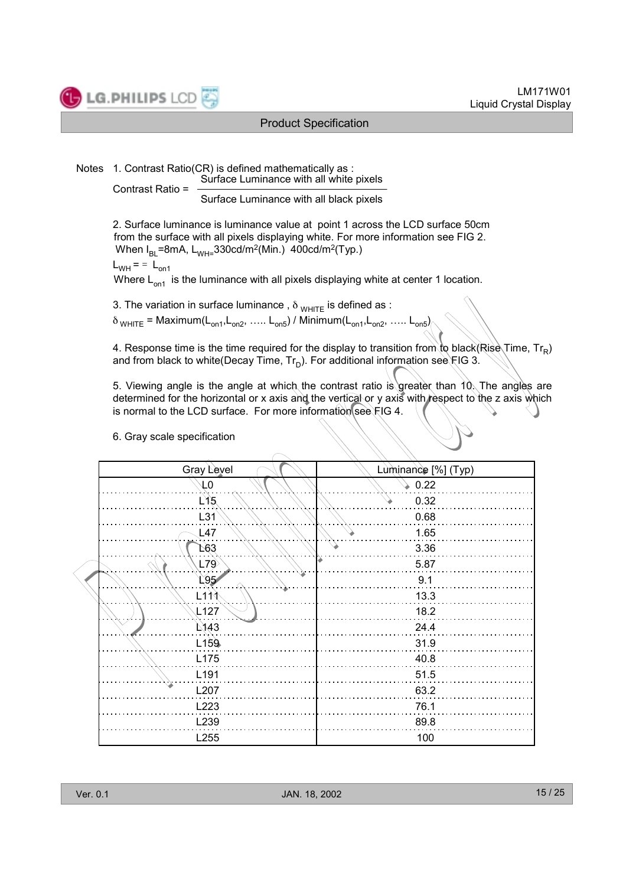

Notes 1. Contrast Ratio(CR) is defined mathematically as : Surface Luminance with all white pixels Contrast Ratio =

Surface Luminance with all black pixels

2. Surface luminance is luminance value at point 1 across the LCD surface 50cm from the surface with all pixels displaying white. For more information see FIG 2. When  $I_{BI}$ =8mA,  $L_{WH}=330cd/m^2$ (Min.) 400cd/m<sup>2</sup>(Typ.)

$$
L_{WH} = 1 - L_{on1}
$$

Where  $L_{on1}$  is the luminance with all pixels displaying white at center 1 location.

3. The variation in surface luminance,  $\delta_{WHITE}$  is defined as :

 $\delta_{WHITE}$  = Maximum( $L_{on1}$ , $L_{on2}$ , …..  $L_{on5}$ ) / Minimum( $L_{on1}$ , $L_{on2}$ , …..  $L_{on5}$ )

4. Response time is the time required for the display to transition from to black(Rise Time,  $Tr_B$ ) and from black to white(Decay Time,  $Tr_D$ ). For additional information see FIG 3.

5. Viewing angle is the angle at which the contrast ratio is greater than 10. The angles are determined for the horizontal or x axis and the vertical or y axis with respect to the z axis which is normal to the LCD surface. For more information see  $FIG 4$ .

#### 6. Gray scale specification

| Gray Level       | Luminance [%] (Typ) |
|------------------|---------------------|
| $\sqrt{0}$       | 0.22                |
| $L$ 15           | 0.32                |
| L31              | 0.68                |
| L47              | 1.65                |
| L63              | 3.36                |
| L79              | 5.87                |
| 195              | 9.1                 |
| $L1$ 11          | 13.3                |
| L127             | 18.2                |
| L <sub>143</sub> | 24.4                |
| L <sub>159</sub> | 31.9                |
| L175             | 40.8                |
| L191             | 51.5                |
| L207             | 63.2                |
| L223             | 76.1                |
| L239             | 89.8                |
| L255             | 100                 |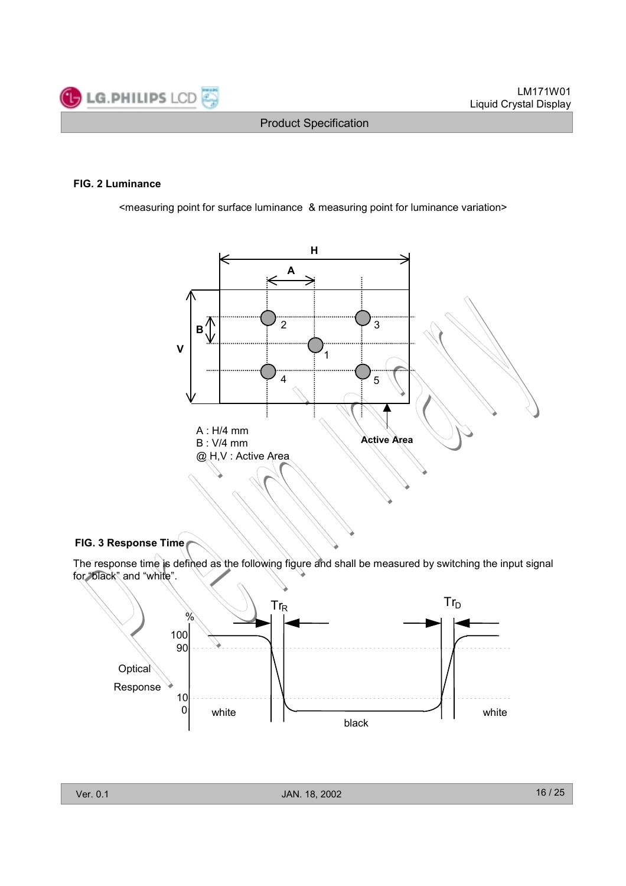

#### **FIG. 2 Luminance**

<measuring point for surface luminance & measuring point for luminance variation>



#### **FIG. 3 Response Time**

The response time is defined as the following figure and shall be measured by switching the input signal for "black" and "white".

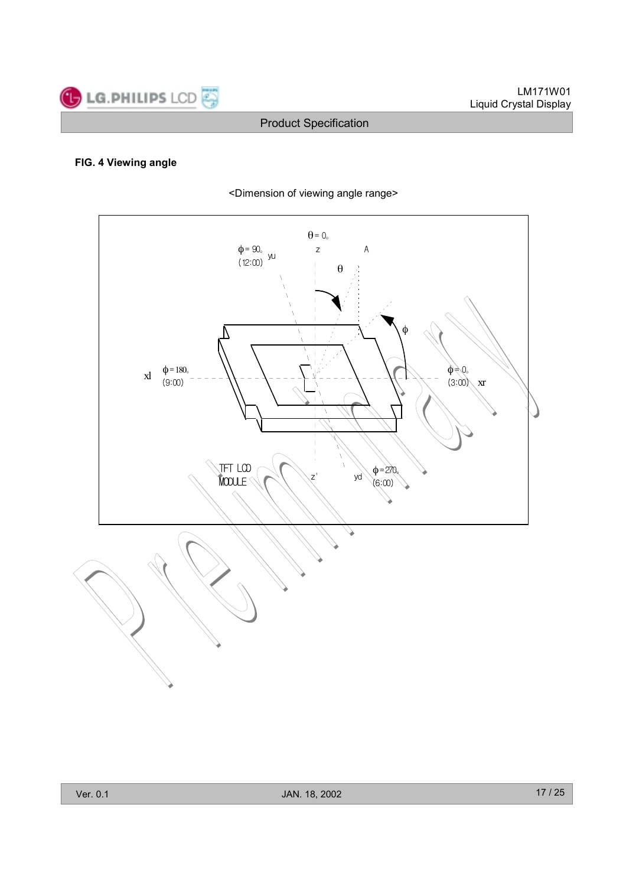

#### **FIG. 4 Viewing angle**

<Dimension of viewing angle range>

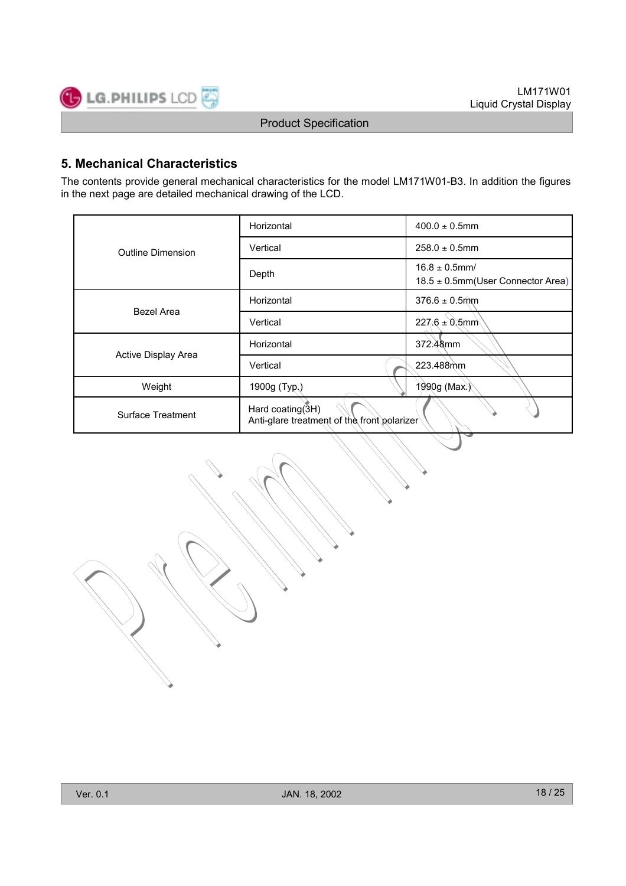

### **5. Mechanical Characteristics**

The contents provide general mechanical characteristics for the model LM171W01-B3. In addition the figures in the next page are detailed mechanical drawing of the LCD.

|                     | Horizontal                                                      | $400.0 \pm 0.5$ mm                                           |  |  |
|---------------------|-----------------------------------------------------------------|--------------------------------------------------------------|--|--|
| Outline Dimension   | Vertical                                                        | $258.0 \pm 0.5$ mm                                           |  |  |
|                     | Depth                                                           | $16.8 \pm 0.5$ mm/<br>$18.5 \pm 0.5$ mm(User Connector Area) |  |  |
|                     | Horizontal                                                      | $376.6 \pm 0.5$ mm                                           |  |  |
| Bezel Area          | Vertical                                                        | $227.6 \pm 0.5$ mm                                           |  |  |
|                     | Horizontal                                                      | 372.48mm                                                     |  |  |
| Active Display Area | Vertical                                                        | 223.488mm                                                    |  |  |
| Weight              | 1900g (Typ.)                                                    | 1990g (Max.)                                                 |  |  |
| Surface Treatment   | Hard coating(3H)<br>Anti-glare treatment of the front polarizer |                                                              |  |  |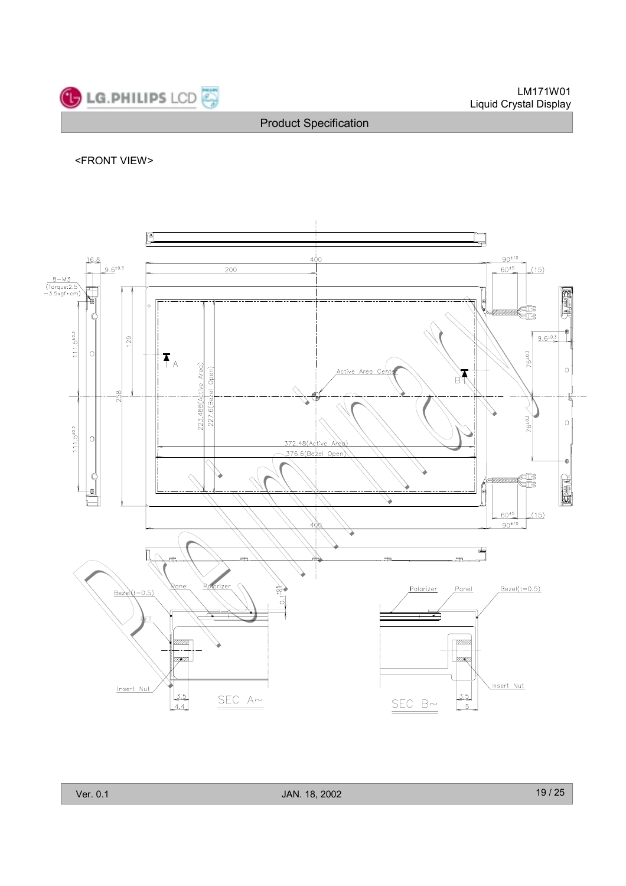

#### <FRONT VIEW>

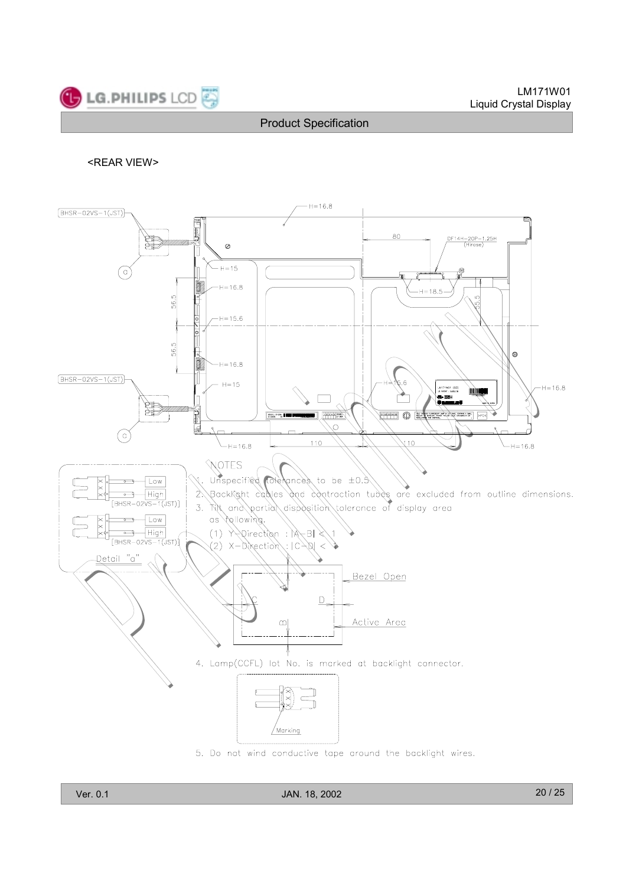#### <REAR VIEW>

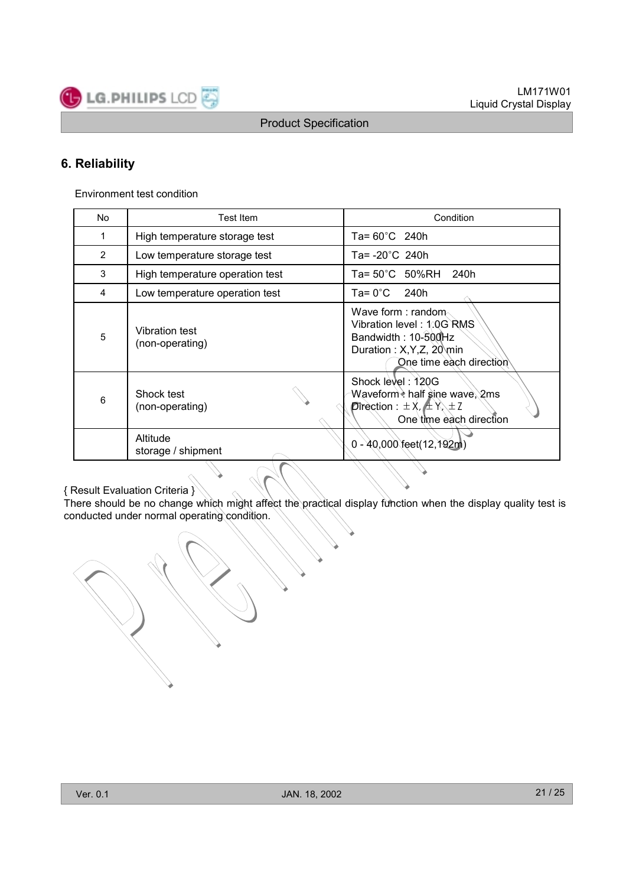### **6. Reliability**

Environment test condition

**LG.PHILIPS LCD** 

| No             | Test Item                                | Condition                                                                                                                      |  |  |
|----------------|------------------------------------------|--------------------------------------------------------------------------------------------------------------------------------|--|--|
| 1              | High temperature storage test            | Ta= 60°C 240h                                                                                                                  |  |  |
| $\overline{2}$ | Low temperature storage test             | Ta= -20°C 240h                                                                                                                 |  |  |
| 3              | High temperature operation test          | Ta= 50°C 50%RH<br>240h                                                                                                         |  |  |
| 4              | Low temperature operation test           | Ta= 0°C l<br>240h                                                                                                              |  |  |
| 5              | <b>Vibration test</b><br>(non-operating) | Wave form : random<br>Vibration level: 1.0G RMS<br>Bandwidth: 10-500Hz<br>Duration: X, Y, Z, 20 min<br>One time each direction |  |  |
| 6              | Shock test<br>(non-operating)            | Shock level: 120G<br>Waveform • half sine wave, 2ms<br><b>Direction</b> : $\pm$ X, $\pm$ Y, $\pm$ Z<br>One time each direction |  |  |
|                | Altitude<br>storage / shipment           | $0 - 40,000$ feet(12,192m)                                                                                                     |  |  |

{ Result Evaluation Criteria }

There should be no change which might affect the practical display function when the display quality test is conducted under normal operating condition.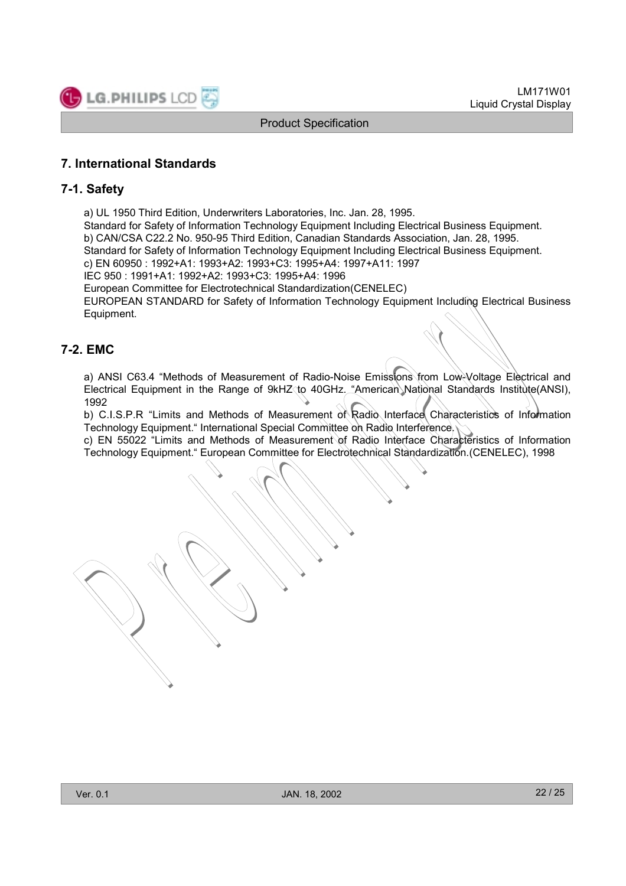

### **7. International Standards**

#### **7-1. Safety**

a) UL 1950 Third Edition, Underwriters Laboratories, Inc. Jan. 28, 1995.

Standard for Safety of Information Technology Equipment Including Electrical Business Equipment. b) CAN/CSA C22.2 No. 950-95 Third Edition, Canadian Standards Association, Jan. 28, 1995.

Standard for Safety of Information Technology Equipment Including Electrical Business Equipment.

c) EN 60950 : 1992+A1: 1993+A2: 1993+C3: 1995+A4: 1997+A11: 1997

IEC 950 : 1991+A1: 1992+A2: 1993+C3: 1995+A4: 1996

European Committee for Electrotechnical Standardization(CENELEC)

EUROPEAN STANDARD for Safety of Information Technology Equipment Including Electrical Business Equipment.

#### **7-2. EMC**

a) ANSI C63.4 "Methods of Measurement of Radio-Noise Emissions from Low-Voltage Electrical and Electrical Equipment in the Range of 9kHZ to 40GHz. "American National Standards Institute(ANSI), 1992

b) C.I.S.P.R "Limits and Methods of Measurement of Radio Interface Characteristics of Information Technology Equipment." International Special Committee on Radio Interference.

c) EN 55022 "Limits and Methods of Measurement of Radio Interface Characteristics of Information Technology Equipment." European Committee for Electrotechnical Standardization.(CENELEC), 1998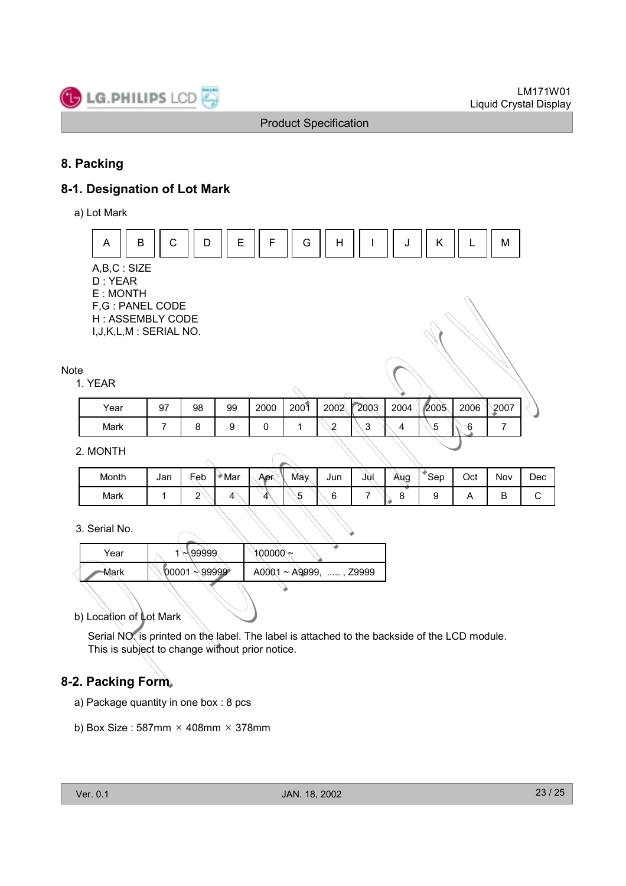

### **8. Packing**

### **8-1. Designation of Lot Mark**

a) Lot Mark



#### 2. MONTH

| Month | Jan | Feb | Mar | <b>Apr</b> | May | Jun | JUI. | Aug | <b>Sep</b> | Oct | Nov | Dec |
|-------|-----|-----|-----|------------|-----|-----|------|-----|------------|-----|-----|-----|
| Mark  |     | -   |     |            | -   |     | -    |     |            |     | B   |     |

#### 3. Serial No.

| Year | $\sqrt{99999}$            | $\sim 00000$ ে               |
|------|---------------------------|------------------------------|
| Mark | $00001 \rightarrow 99999$ | $A0001 \sim A9999$ , , Z9999 |
|      |                           |                              |

b) Location of Lot Mark

Serial NO. is printed on the label. The label is attached to the backside of the LCD module. This is subject to change without prior notice.

### **8-2. Packing Form**

- a) Package quantity in one box : 8 pcs
- b) Box Size:  $587mm \times 408mm \times 378mm$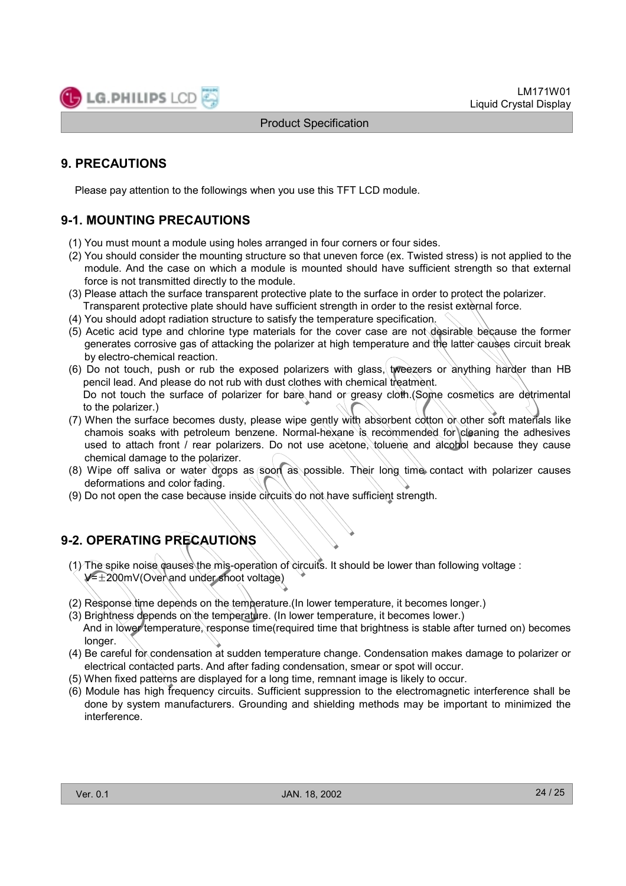### **9. PRECAUTIONS**

Please pay attention to the followings when you use this TFT LCD module.

### **9-1. MOUNTING PRECAUTIONS**

- (1) You must mount a module using holes arranged in four corners or four sides.
- (2) You should consider the mounting structure so that uneven force (ex. Twisted stress) is not applied to the module. And the case on which a module is mounted should have sufficient strength so that external force is not transmitted directly to the module.
- (3) Please attach the surface transparent protective plate to the surface in order to protect the polarizer. Transparent protective plate should have sufficient strength in order to the resist external force.
- (4) You should adopt radiation structure to satisfy the temperature specification.
- (5) Acetic acid type and chlorine type materials for the cover case are not desirable because the former generates corrosive gas of attacking the polarizer at high temperature and the latter causes circuit break by electro-chemical reaction.
- (6) Do not touch, push or rub the exposed polarizers with glass, tweezers or anything harder than HB pencil lead. And please do not rub with dust clothes with chemical treatment. Do not touch the surface of polarizer for bare hand or greasy cloth. (Some cosmetics are detrimental to the polarizer.)
- (7) When the surface becomes dusty, please wipe gently with absorbent cotton or other soft materials like chamois soaks with petroleum benzene. Normal-hexane is recommended for cleaning the adhesives used to attach front / rear polarizers. Do not use acetone, toluene and alcohol because they cause chemical damage to the polarizer.
- (8) Wipe off saliva or water drops as soon as possible. Their long time contact with polarizer causes deformations and color fading.
- (9) Do not open the case because inside circuits do not have sufficient strength.

### **9-2. OPERATING PRECAUTIONS**

- (1) The spike noise causes the mis-operation of circuits. It should be lower than following voltage :  $V=±200mV(Over)$  and under shoot voltage)
- (2) Response time depends on the temperature.(In lower temperature, it becomes longer.)
- (3) Brightness depends on the temperature. (In lower temperature, it becomes lower.) And in lower temperature, response time(required time that brightness is stable after turned on) becomes longer.
- (4) Be careful for condensation at sudden temperature change. Condensation makes damage to polarizer or electrical contacted parts. And after fading condensation, smear or spot will occur.
- (5) When fixed patterns are displayed for a long time, remnant image is likely to occur.
- (6) Module has high frequency circuits. Sufficient suppression to the electromagnetic interference shall be done by system manufacturers. Grounding and shielding methods may be important to minimized the interference.